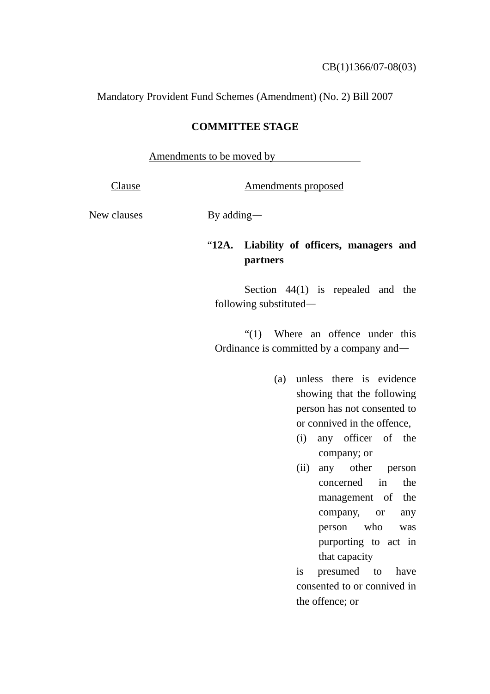Mandatory Provident Fund Schemes (Amendment) (No. 2) Bill 2007

## **COMMITTEE STAGE**

Amendments to be moved by

Clause Amendments proposed

New clauses By adding—

## "**12A. Liability of officers, managers and partners**

Section 44(1) is repealed and the following substituted—

"(1) Where an offence under this Ordinance is committed by a company and—

- (a) unless there is evidence showing that the following person has not consented to or connived in the offence,
	- (i) any officer of the company; or
	- (ii) any other person concerned in the management of the company, or any person who was purporting to act in that capacity

 is presumed to have consented to or connived in the offence; or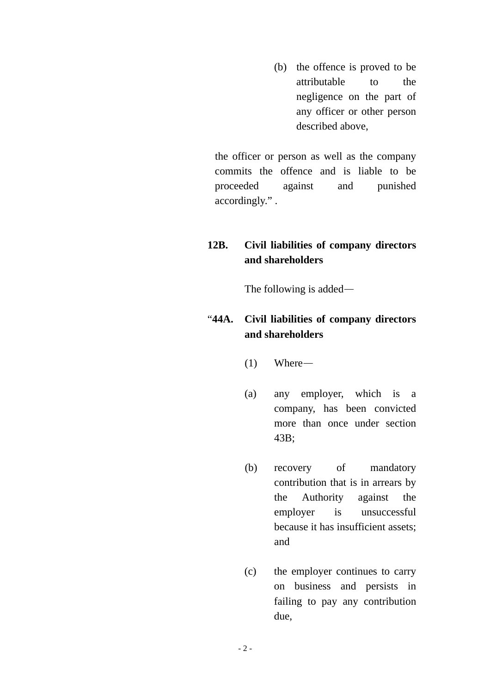(b) the offence is proved to be attributable to the negligence on the part of any officer or other person described above,

the officer or person as well as the company commits the offence and is liable to be proceeded against and punished accordingly." .

## **12B. Civil liabilities of company directors and shareholders**

The following is added—

## "**44A. Civil liabilities of company directors and shareholders**

- (1) Where—
- (a) any employer, which is a company, has been convicted more than once under section 43B;
- (b) recovery of mandatory contribution that is in arrears by the Authority against the employer is unsuccessful because it has insufficient assets; and
- (c) the employer continues to carry on business and persists in failing to pay any contribution due,